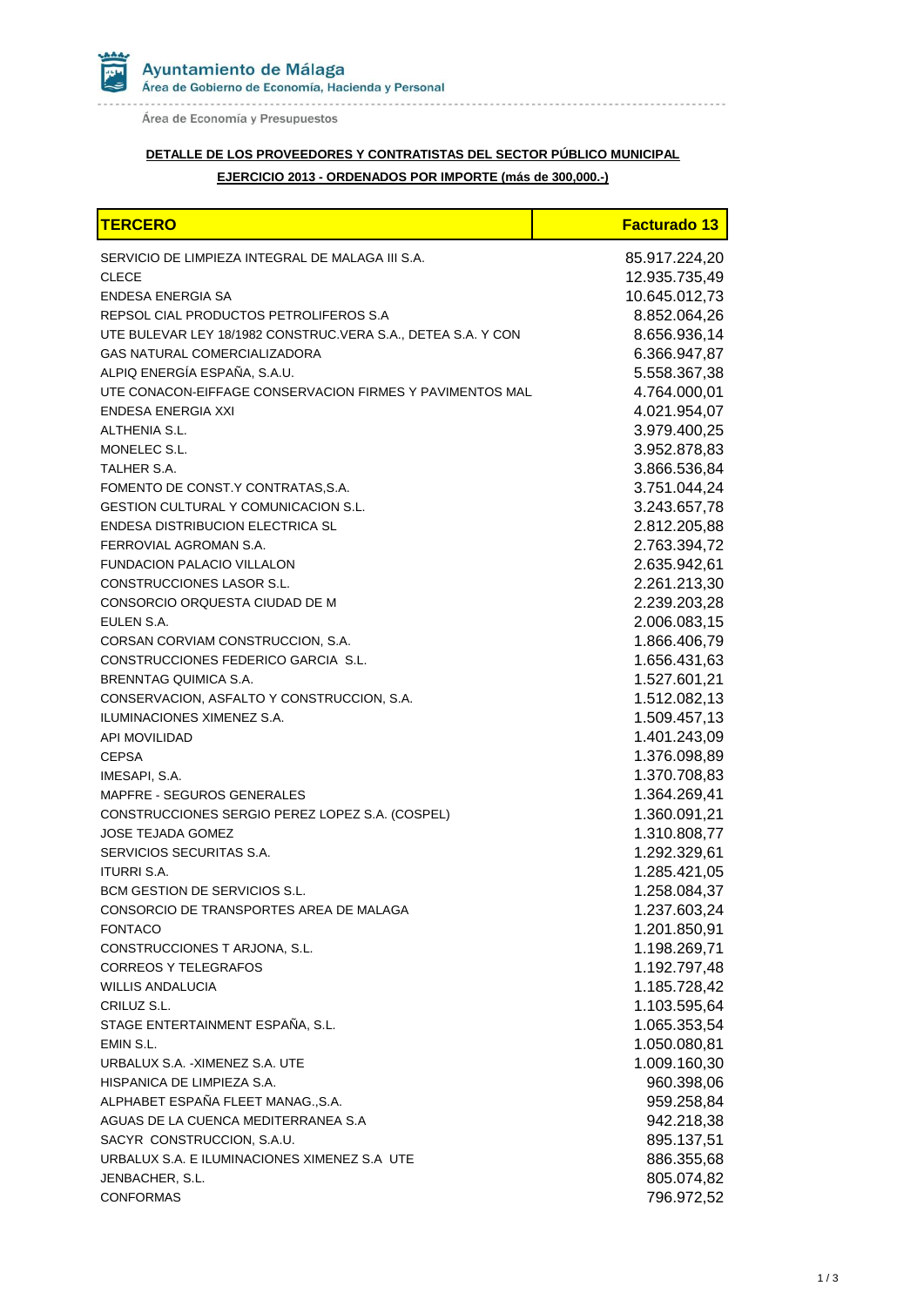

Área de Economía y Presupuestos

# **DETALLE DE LOS PROVEEDORES Y CONTRATISTAS DEL SECTOR PÚBLICO MUNICIPAL**

### **EJERCICIO 2013 - ORDENADOS POR IMPORTE (más de 300,000.-)**

| <b>TERCERO</b>                                                           | <b>Facturado 13</b>          |
|--------------------------------------------------------------------------|------------------------------|
| SERVICIO DE LIMPIEZA INTEGRAL DE MALAGA III S.A.                         | 85.917.224,20                |
| <b>CLECE</b>                                                             | 12.935.735,49                |
| ENDESA ENERGIA SA                                                        | 10.645.012,73                |
| REPSOL CIAL PRODUCTOS PETROLIFEROS S.A                                   | 8.852.064,26                 |
| UTE BULEVAR LEY 18/1982 CONSTRUC.VERA S.A., DETEA S.A. Y CON             | 8.656.936,14                 |
| GAS NATURAL COMERCIALIZADORA                                             | 6.366.947,87                 |
| ALPIQ ENERGÍA ESPAÑA, S.A.U.                                             | 5.558.367,38                 |
| UTE CONACON-EIFFAGE CONSERVACION FIRMES Y PAVIMENTOS MAL                 | 4.764.000,01                 |
| ENDESA ENERGIA XXI                                                       | 4.021.954,07                 |
| ALTHENIA S.L.                                                            | 3.979.400,25                 |
| MONELEC S.L.                                                             | 3.952.878,83                 |
| TALHER S.A.                                                              | 3.866.536,84                 |
| FOMENTO DE CONST.Y CONTRATAS, S.A.                                       | 3.751.044,24                 |
| <b>GESTION CULTURAL Y COMUNICACION S.L.</b>                              | 3.243.657,78                 |
| <b>ENDESA DISTRIBUCION ELECTRICA SL</b>                                  | 2.812.205,88                 |
| FERROVIAL AGROMAN S.A.                                                   | 2.763.394,72                 |
| <b>FUNDACION PALACIO VILLALON</b>                                        | 2.635.942,61                 |
| CONSTRUCCIONES LASOR S.L.                                                | 2.261.213,30                 |
| CONSORCIO ORQUESTA CIUDAD DE M                                           | 2.239.203,28                 |
| EULEN S.A.                                                               | 2.006.083,15                 |
| CORSAN CORVIAM CONSTRUCCION, S.A.                                        | 1.866.406,79                 |
| CONSTRUCCIONES FEDERICO GARCIA S.L.                                      | 1.656.431,63                 |
| BRENNTAG QUIMICA S.A.                                                    | 1.527.601,21                 |
| CONSERVACION, ASFALTO Y CONSTRUCCION, S.A.                               | 1.512.082,13                 |
| ILUMINACIONES XIMENEZ S.A.                                               | 1.509.457,13                 |
| <b>API MOVILIDAD</b>                                                     | 1.401.243,09                 |
| <b>CEPSA</b>                                                             | 1.376.098,89                 |
| IMESAPI, S.A.                                                            | 1.370.708,83                 |
| MAPFRE - SEGUROS GENERALES                                               | 1.364.269,41                 |
| CONSTRUCCIONES SERGIO PEREZ LOPEZ S.A. (COSPEL)                          | 1.360.091,21                 |
| <b>JOSE TEJADA GOMEZ</b>                                                 | 1.310.808,77                 |
| SERVICIOS SECURITAS S.A.                                                 | 1.292.329,61<br>1.285.421,05 |
| <b>ITURRI S.A.</b>                                                       |                              |
| BCM GESTION DE SERVICIOS S.L.<br>CONSORCIO DE TRANSPORTES AREA DE MALAGA | 1.258.084,37<br>1.237.603,24 |
|                                                                          | 1.201.850,91                 |
| <b>FONTACO</b><br>CONSTRUCCIONES T ARJONA, S.L.                          | 1.198.269,71                 |
| <b>CORREOS Y TELEGRAFOS</b>                                              | 1.192.797,48                 |
| <b>WILLIS ANDALUCIA</b>                                                  | 1.185.728,42                 |
| CRILUZ S.L.                                                              | 1.103.595,64                 |
| STAGE ENTERTAINMENT ESPAÑA, S.L.                                         | 1.065.353,54                 |
| EMIN S.L.                                                                | 1.050.080,81                 |
| URBALUX S.A. - XIMENEZ S.A. UTE                                          | 1.009.160,30                 |
| HISPANICA DE LIMPIEZA S.A.                                               | 960.398,06                   |
| ALPHABET ESPAÑA FLEET MANAG., S.A.                                       | 959.258,84                   |
| AGUAS DE LA CUENCA MEDITERRANEA S.A                                      | 942.218,38                   |
| SACYR CONSTRUCCION, S.A.U.                                               | 895.137,51                   |
| URBALUX S.A. E ILUMINACIONES XIMENEZ S.A UTE                             | 886.355,68                   |
| JENBACHER, S.L.                                                          | 805.074,82                   |
| <b>CONFORMAS</b>                                                         | 796.972,52                   |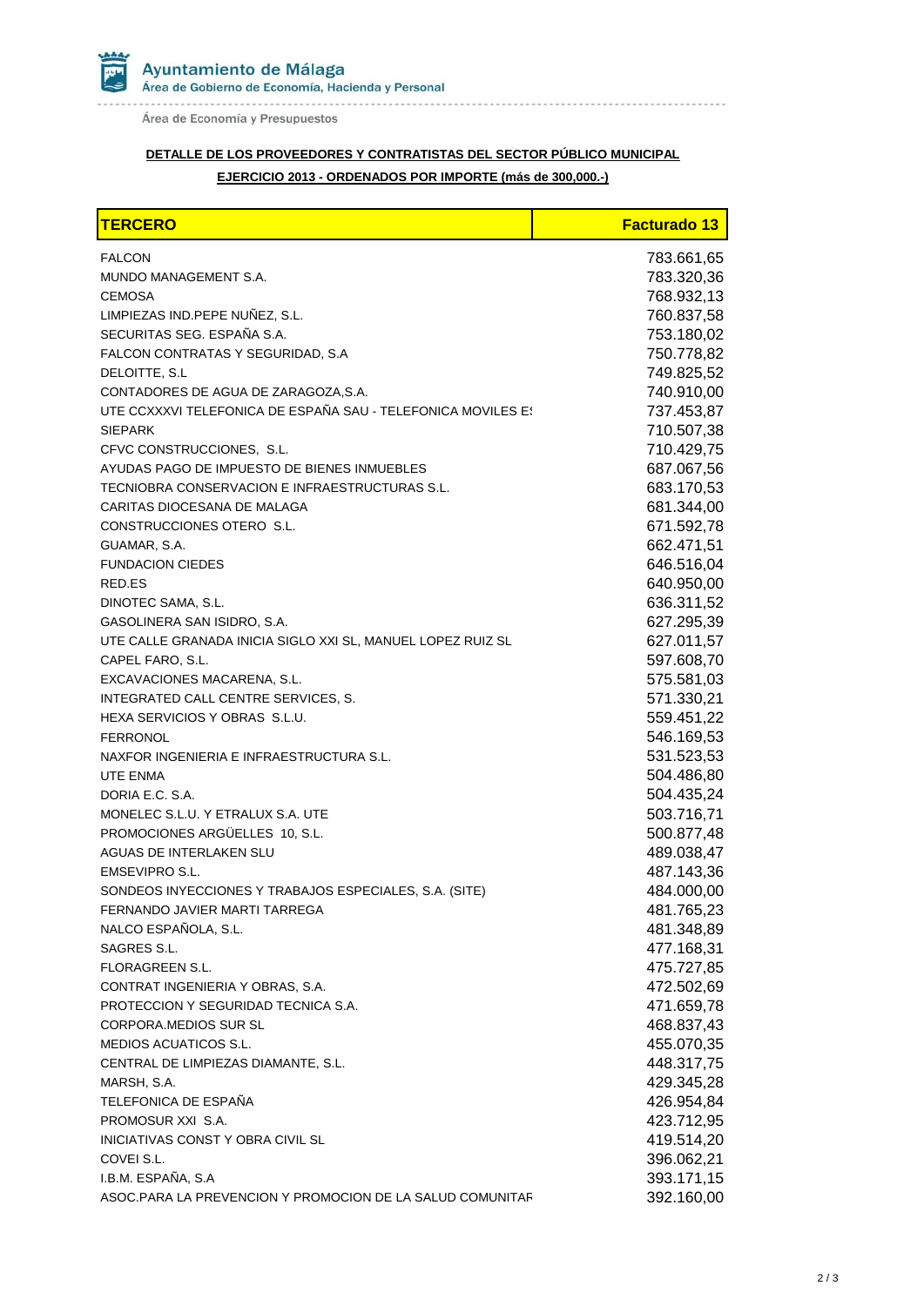

Área de Economía y Presupuestos

# **DETALLE DE LOS PROVEEDORES Y CONTRATISTAS DEL SECTOR PÚBLICO MUNICIPAL**

### **EJERCICIO 2013 - ORDENADOS POR IMPORTE (más de 300,000.-)**

| <b>TERCERO</b>                                               | <b>Facturado 13</b> |
|--------------------------------------------------------------|---------------------|
| <b>FALCON</b>                                                | 783.661,65          |
| MUNDO MANAGEMENT S.A.                                        | 783.320,36          |
| <b>CEMOSA</b>                                                | 768.932,13          |
| LIMPIEZAS IND.PEPE NUÑEZ, S.L.                               | 760.837,58          |
| SECURITAS SEG. ESPAÑA S.A.                                   | 753.180,02          |
| FALCON CONTRATAS Y SEGURIDAD, S.A                            | 750.778,82          |
| DELOITTE, S.L                                                | 749.825,52          |
| CONTADORES DE AGUA DE ZARAGOZA, S.A.                         | 740.910,00          |
| UTE CCXXXVI TELEFONICA DE ESPAÑA SAU - TELEFONICA MOVILES E! | 737.453,87          |
| <b>SIEPARK</b>                                               | 710.507,38          |
| CFVC CONSTRUCCIONES, S.L.                                    | 710.429,75          |
| AYUDAS PAGO DE IMPUESTO DE BIENES INMUEBLES                  | 687.067,56          |
| TECNIOBRA CONSERVACION E INFRAESTRUCTURAS S.L.               | 683.170,53          |
| CARITAS DIOCESANA DE MALAGA                                  | 681.344,00          |
| CONSTRUCCIONES OTERO S.L.                                    | 671.592,78          |
| GUAMAR, S.A.                                                 | 662.471,51          |
| <b>FUNDACION CIEDES</b>                                      | 646.516,04          |
| RED.ES                                                       | 640.950,00          |
| DINOTEC SAMA, S.L.                                           | 636.311,52          |
| GASOLINERA SAN ISIDRO, S.A.                                  | 627.295,39          |
| UTE CALLE GRANADA INICIA SIGLO XXI SL, MANUEL LOPEZ RUIZ SL  | 627.011,57          |
| CAPEL FARO, S.L.                                             | 597.608,70          |
| EXCAVACIONES MACARENA, S.L.                                  | 575.581,03          |
| INTEGRATED CALL CENTRE SERVICES, S.                          | 571.330,21          |
| HEXA SERVICIOS Y OBRAS S.L.U.                                | 559.451,22          |
| <b>FERRONOL</b>                                              | 546.169,53          |
| NAXFOR INGENIERIA E INFRAESTRUCTURA S.L.                     | 531.523,53          |
| <b>UTE ENMA</b>                                              | 504.486,80          |
| DORIA E.C. S.A.                                              | 504.435,24          |
| MONELEC S.L.U. Y ETRALUX S.A. UTE                            | 503.716,71          |
| PROMOCIONES ARGÜELLES 10, S.L.                               | 500.877,48          |
| AGUAS DE INTERLAKEN SLU                                      | 489.038,47          |
| EMSEVIPRO S.L.                                               | 487.143,36          |
| SONDEOS INYECCIONES Y TRABAJOS ESPECIALES, S.A. (SITE)       | 484.000,00          |
| FERNANDO JAVIER MARTI TARREGA                                | 481.765,23          |
| NALCO ESPAÑOLA, S.L.                                         | 481.348,89          |
| SAGRES S.L.                                                  | 477.168,31          |
| FLORAGREEN S.L.                                              | 475.727,85          |
| CONTRAT INGENIERIA Y OBRAS, S.A.                             | 472.502,69          |
| PROTECCION Y SEGURIDAD TECNICA S.A.                          | 471.659,78          |
| CORPORA.MEDIOS SUR SL                                        | 468.837,43          |
| <b>MEDIOS ACUATICOS S.L.</b>                                 | 455.070,35          |
| CENTRAL DE LIMPIEZAS DIAMANTE, S.L.                          | 448.317,75          |
| MARSH, S.A.                                                  | 429.345,28          |
| TELEFONICA DE ESPAÑA                                         | 426.954,84          |
| PROMOSUR XXI S.A.                                            | 423.712,95          |
| INICIATIVAS CONST Y OBRA CIVIL SL                            | 419.514,20          |
| COVEI S.L.                                                   | 396.062,21          |
| I.B.M. ESPAÑA, S.A                                           | 393.171,15          |
| ASOC.PARA LA PREVENCION Y PROMOCION DE LA SALUD COMUNITAF    | 392.160,00          |